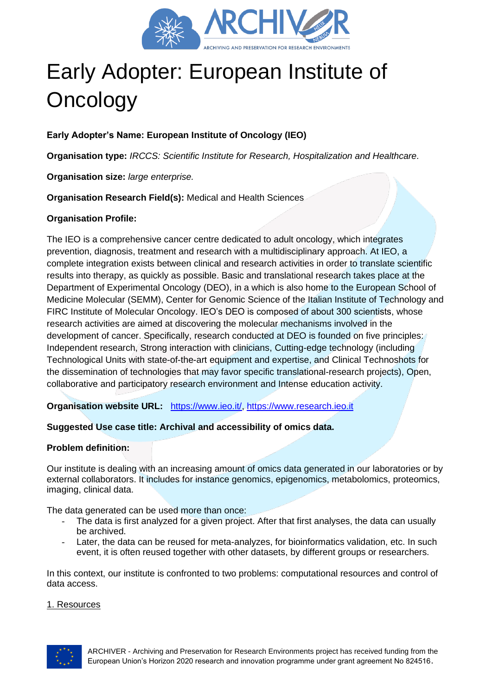

# Early Adopter: European Institute of **Oncology**

**Early Adopter's Name: European Institute of Oncology (IEO)**

**Organisation type:** *IRCCS: Scientific Institute for Research, Hospitalization and Healthcare.*

**Organisation size:** *large enterprise.*

**Organisation Research Field(s):** Medical and Health Sciences

# **Organisation Profile:**

The IEO is a comprehensive cancer centre dedicated to adult oncology, which integrates prevention, diagnosis, treatment and research with a multidisciplinary approach. At IEO, a complete integration exists between clinical and research activities in order to translate scientific results into therapy, as quickly as possible. Basic and translational research takes place at the Department of Experimental Oncology (DEO), in a which is also home to the European School of Medicine Molecular (SEMM), Center for Genomic Science of the Italian Institute of Technology and FIRC Institute of Molecular Oncology. IEO's DEO is composed of about 300 scientists, whose research activities are aimed at discovering the molecular mechanisms involved in the development of cancer. Specifically, research conducted at DEO is founded on five principles: Independent research, Strong interaction with clinicians, Cutting-edge technology (including [Technological Units](https://www.research.ieo.it/research-and-technology/technological-units/) with state-of-the-art equipment and expertise, and [Clinical Technoshots](https://www.research.ieo.it/research-and-technology/clinical-technoshots/) for the dissemination of technologies that may favor specific translational-research projects), Open, collaborative and participatory research environment and Intense education activity.

**Organisation website URL:** [https://www.ieo.it/,](https://www.ieo.it/) [https://www.research.ieo.it](https://www.research.ieo.it/)

# **Suggested Use case title: Archival and accessibility of omics data.**

# **Problem definition:**

Our institute is dealing with an increasing amount of omics data generated in our laboratories or by external collaborators. It includes for instance genomics, epigenomics, metabolomics, proteomics, imaging, clinical data.

The data generated can be used more than once:

- The data is first analyzed for a given project. After that first analyses, the data can usually be archived.
- Later, the data can be reused for meta-analyzes, for bioinformatics validation, etc. In such event, it is often reused together with other datasets, by different groups or researchers.

In this context, our institute is confronted to two problems: computational resources and control of data access.

#### 1. Resources

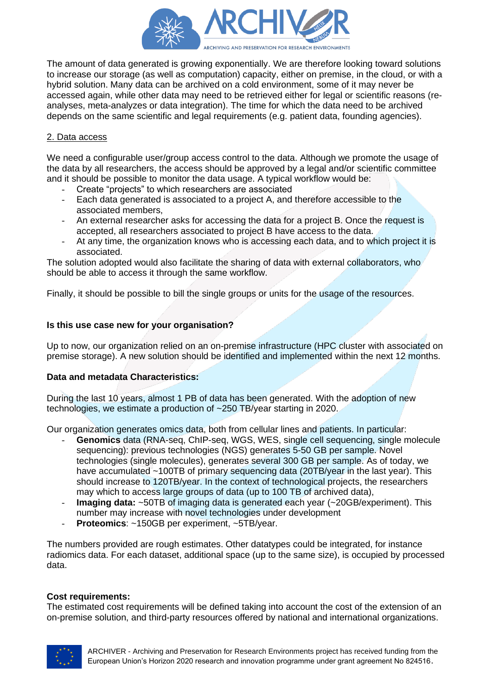

The amount of data generated is growing exponentially. We are therefore looking toward solutions to increase our storage (as well as computation) capacity, either on premise, in the cloud, or with a hybrid solution. Many data can be archived on a cold environment, some of it may never be accessed again, while other data may need to be retrieved either for legal or scientific reasons (reanalyses, meta-analyzes or data integration). The time for which the data need to be archived depends on the same scientific and legal requirements (e.g. patient data, founding agencies).

## 2. Data access

We need a configurable user/group access control to the data. Although we promote the usage of the data by all researchers, the access should be approved by a legal and/or scientific committee and it should be possible to monitor the data usage. A typical workflow would be:

- Create "projects" to which researchers are associated
- Each data generated is associated to a project A, and therefore accessible to the associated members,
- An external researcher asks for accessing the data for a project B. Once the request is accepted, all researchers associated to project B have access to the data.
- At any time, the organization knows who is accessing each data, and to which project it is associated.

The solution adopted would also facilitate the sharing of data with external collaborators, who should be able to access it through the same workflow.

Finally, it should be possible to bill the single groups or units for the usage of the resources.

## **Is this use case new for your organisation?**

Up to now, our organization relied on an on-premise infrastructure (HPC cluster with associated on premise storage). A new solution should be identified and implemented within the next 12 months.

#### **Data and metadata Characteristics:**

During the last 10 years, almost 1 PB of data has been generated. With the adoption of new technologies, we estimate a production of ~250 TB/year starting in 2020.

Our organization generates omics data, both from cellular lines and patients. In particular:

- **Genomics** data (RNA-seq, ChIP-seq, WGS, WES, single cell sequencing, single molecule sequencing): previous technologies (NGS) generates 5-50 GB per sample. Novel technologies (single molecules), generates several 300 GB per sample. As of today, we have accumulated ~100TB of primary sequencing data (20TB/year in the last year). This should increase to 120TB/year. In the context of technological projects, the researchers may which to access large groups of data (up to 100 TB of archived data),
- **Imaging data:**  $\sim$  50TB of imaging data is generated each year ( $\sim$  20GB/experiment). This number may increase with novel technologies under development
- **Proteomics**: ~150GB per experiment, ~5TB/year.

The numbers provided are rough estimates. Other datatypes could be integrated, for instance radiomics data. For each dataset, additional space (up to the same size), is occupied by processed data.

#### **Cost requirements:**

The estimated cost requirements will be defined taking into account the cost of the extension of an on-premise solution, and third-party resources offered by national and international organizations.